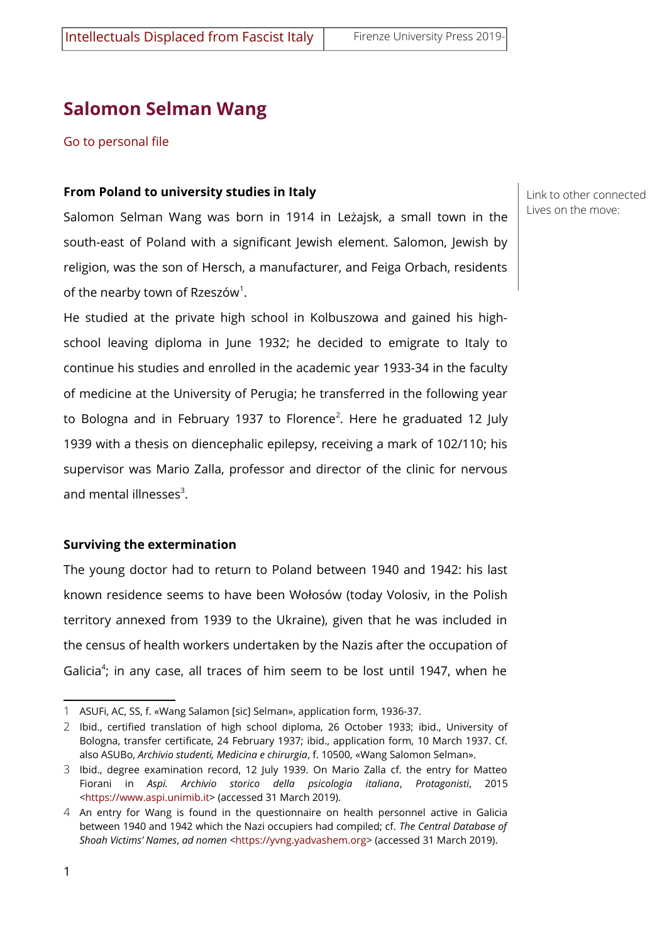# **Salomon Selman Wang**

[Go to personal file](http://intellettualinfuga.fupress.com/scheda/wang-salomon-selman/626)

#### **From Poland to university studies in Italy**

Salomon Selman Wang was born in 1914 in Leżajsk, a small town in the south-east of Poland with a significant Jewish element. Salomon, Jewish by religion, was the son of Hersch, a manufacturer, and Feiga Orbach, residents of the nearby town of Rzeszów $^1$  $^1$ .

He studied at the private high school in Kolbuszowa and gained his highschool leaving diploma in June 1932; he decided to emigrate to Italy to continue his studies and enrolled in the academic year 1933-34 in the faculty of medicine at the University of Perugia; he transferred in the following year to Bologna and in February 1937 to Florence $^2$  $^2$ . Here he graduated 12 July 1939 with a thesis on diencephalic epilepsy, receiving a mark of 102/110; his supervisor was Mario Zalla, professor and director of the clinic for nervous and mental illnesses $^3$  $^3$ .

### **Surviving the extermination**

The young doctor had to return to Poland between 1940 and 1942: his last known residence seems to have been Wołosów (today Volosiv, in the Polish territory annexed from 1939 to the Ukraine), given that he was included in the census of health workers undertaken by the Nazis after the occupation of Galicia<sup>[4](#page-0-3)</sup>; in any case, all traces of him seem to be lost until 1947, when he

Link to other connected Lives on the move:

<span id="page-0-0"></span><sup>1</sup> ASUFi, AC, SS, f. «Wang Salamon [sic] Selman», application form, 1936-37.

<span id="page-0-1"></span><sup>2</sup> Ibid., certified translation of high school diploma, 26 October 1933; ibid., University of Bologna, transfer certificate, 24 February 1937; ibid., application form, 10 March 1937. Cf. also ASUBo, *Archivio studenti, Medicina e chirurgia*, f. 10500, «Wang Salomon Selman».

<span id="page-0-2"></span><sup>3</sup> Ibid., degree examination record, 12 July 1939. On Mario Zalla cf. the entry for Matteo Fiorani in *Aspi. Archivio storico della psicologia italiana*, *Protagonisti*, 2015 [<https://www.aspi.unimib.it](https://www.aspi.unimib.it/collections/entity/detail/284/)> (accessed 31 March 2019).

<span id="page-0-3"></span><sup>4</sup> An entry for Wang is found in the questionnaire on health personnel active in Galicia between 1940 and 1942 which the Nazi occupiers had compiled; cf. *The Central Database of Shoah Victims' Names*, *ad nomen* [<https://yvng.yadvashem.org](https://yvng.yadvashem.org/)> (accessed 31 March 2019).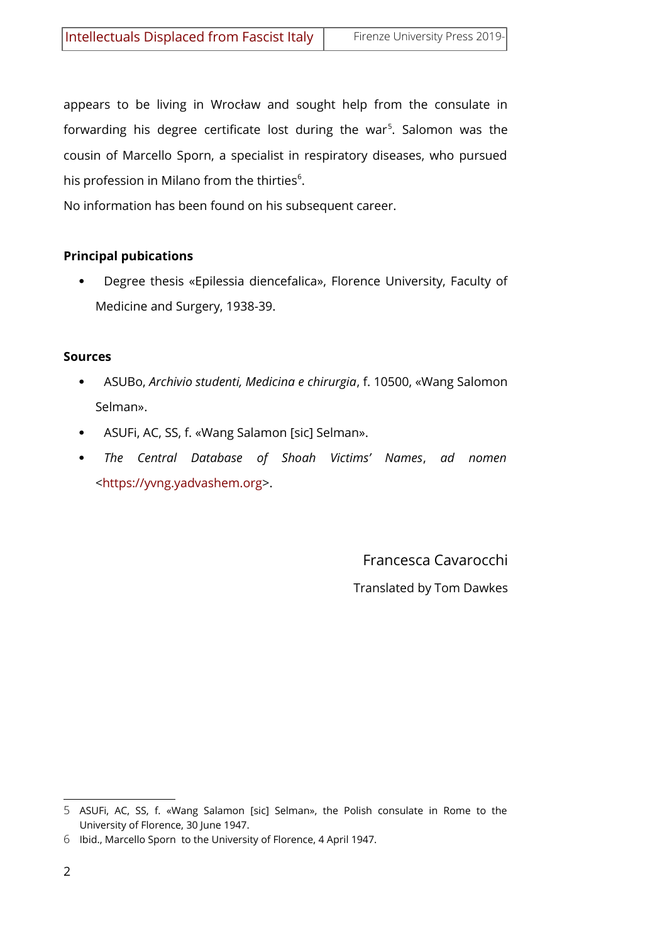appears to be living in Wrocław and sought help from the consulate in forwarding his degree certificate lost during the war<sup>[5](#page-1-0)</sup>. Salomon was the cousin of Marcello Sporn, a specialist in respiratory diseases, who pursued his profession in Milano from the thirties $6$ .

No information has been found on his subsequent career.

## **Principal pubications**

 Degree thesis «Epilessia diencefalica», Florence University, Faculty of Medicine and Surgery, 1938-39.

### **Sources**

- ASUBo, *Archivio studenti, Medicina e chirurgia*, f. 10500, «Wang Salomon Selman».
- ASUFi, AC, SS, f. «Wang Salamon [sic] Selman».
- *The Central Database of Shoah Victims' Names*, *ad nomen* [<https://yvng.yadvashem.org](https://yvng.yadvashem.org/)>.

Francesca Cavarocchi Translated by Tom Dawkes

<span id="page-1-0"></span><sup>5</sup> ASUFi, AC, SS, f. «Wang Salamon [sic] Selman», the Polish consulate in Rome to the University of Florence, 30 June 1947.

<span id="page-1-1"></span><sup>6</sup> Ibid., Marcello Sporn to the University of Florence, 4 April 1947.